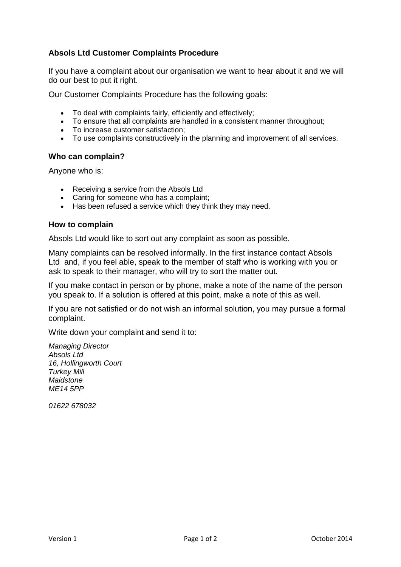# **Absols Ltd Customer Complaints Procedure**

If you have a complaint about our organisation we want to hear about it and we will do our best to put it right.

Our Customer Complaints Procedure has the following goals:

- To deal with complaints fairly, efficiently and effectively;
- To ensure that all complaints are handled in a consistent manner throughout;
- To increase customer satisfaction;
- To use complaints constructively in the planning and improvement of all services.

#### **Who can complain?**

Anyone who is:

- Receiving a service from the Absols Ltd
- Caring for someone who has a complaint;
- Has been refused a service which they think they may need.

#### **How to complain**

Absols Ltd would like to sort out any complaint as soon as possible.

Many complaints can be resolved informally. In the first instance contact Absols Ltd and, if you feel able, speak to the member of staff who is working with you or ask to speak to their manager, who will try to sort the matter out.

If you make contact in person or by phone, make a note of the name of the person you speak to. If a solution is offered at this point, make a note of this as well.

If you are not satisfied or do not wish an informal solution, you may pursue a formal complaint.

Write down your complaint and send it to:

*Managing Director Absols Ltd 16, Hollingworth Court Turkey Mill Maidstone ME14 5PP*

*01622 678032*